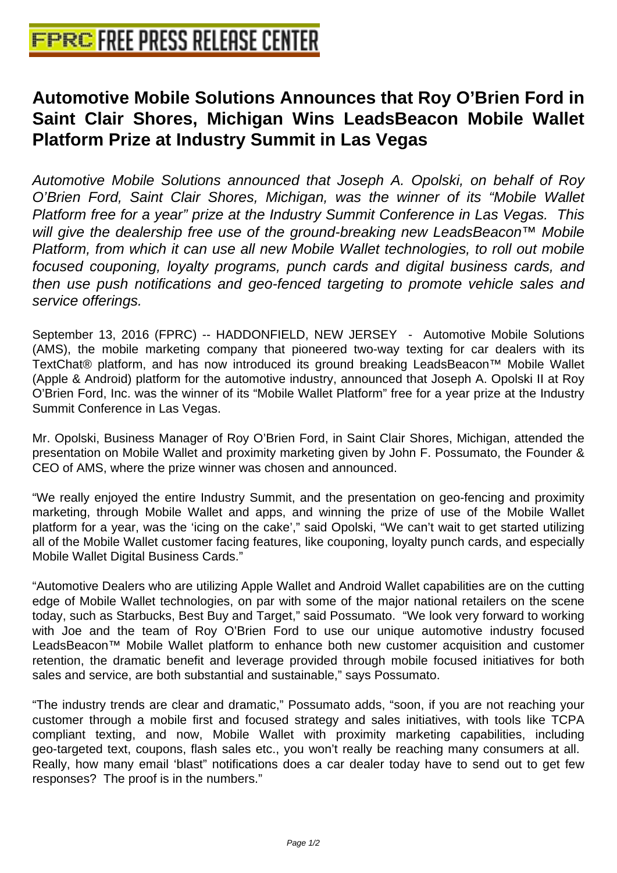## **[Automotive Mobile Solutions Anno](http://www.free-press-release-center.info)unces that Roy O'Brien Ford in Saint Clair Shores, Michigan Wins LeadsBeacon Mobile Wallet Platform Prize at Industry Summit in Las Vegas**

Automotive Mobile Solutions announced that Joseph A. Opolski, on behalf of Roy O'Brien Ford, Saint Clair Shores, Michigan, was the winner of its "Mobile Wallet Platform free for a year" prize at the Industry Summit Conference in Las Vegas. This will give the dealership free use of the ground-breaking new LeadsBeacon™ Mobile Platform, from which it can use all new Mobile Wallet technologies, to roll out mobile focused couponing, loyalty programs, punch cards and digital business cards, and then use push notifications and geo-fenced targeting to promote vehicle sales and service offerings.

September 13, 2016 (FPRC) -- HADDONFIELD, NEW JERSEY - Automotive Mobile Solutions (AMS), the mobile marketing company that pioneered two-way texting for car dealers with its TextChat® platform, and has now introduced its ground breaking LeadsBeacon™ Mobile Wallet (Apple & Android) platform for the automotive industry, announced that Joseph A. Opolski II at Roy O'Brien Ford, Inc. was the winner of its "Mobile Wallet Platform" free for a year prize at the Industry Summit Conference in Las Vegas.

Mr. Opolski, Business Manager of Roy O'Brien Ford, in Saint Clair Shores, Michigan, attended the presentation on Mobile Wallet and proximity marketing given by John F. Possumato, the Founder & CEO of AMS, where the prize winner was chosen and announced.

"We really enjoyed the entire Industry Summit, and the presentation on geo-fencing and proximity marketing, through Mobile Wallet and apps, and winning the prize of use of the Mobile Wallet platform for a year, was the 'icing on the cake'," said Opolski, "We can't wait to get started utilizing all of the Mobile Wallet customer facing features, like couponing, loyalty punch cards, and especially Mobile Wallet Digital Business Cards."

"Automotive Dealers who are utilizing Apple Wallet and Android Wallet capabilities are on the cutting edge of Mobile Wallet technologies, on par with some of the major national retailers on the scene today, such as Starbucks, Best Buy and Target," said Possumato. "We look very forward to working with Joe and the team of Roy O'Brien Ford to use our unique automotive industry focused LeadsBeacon™ Mobile Wallet platform to enhance both new customer acquisition and customer retention, the dramatic benefit and leverage provided through mobile focused initiatives for both sales and service, are both substantial and sustainable," says Possumato.

"The industry trends are clear and dramatic," Possumato adds, "soon, if you are not reaching your customer through a mobile first and focused strategy and sales initiatives, with tools like TCPA compliant texting, and now, Mobile Wallet with proximity marketing capabilities, including geo-targeted text, coupons, flash sales etc., you won't really be reaching many consumers at all. Really, how many email 'blast" notifications does a car dealer today have to send out to get few responses? The proof is in the numbers."